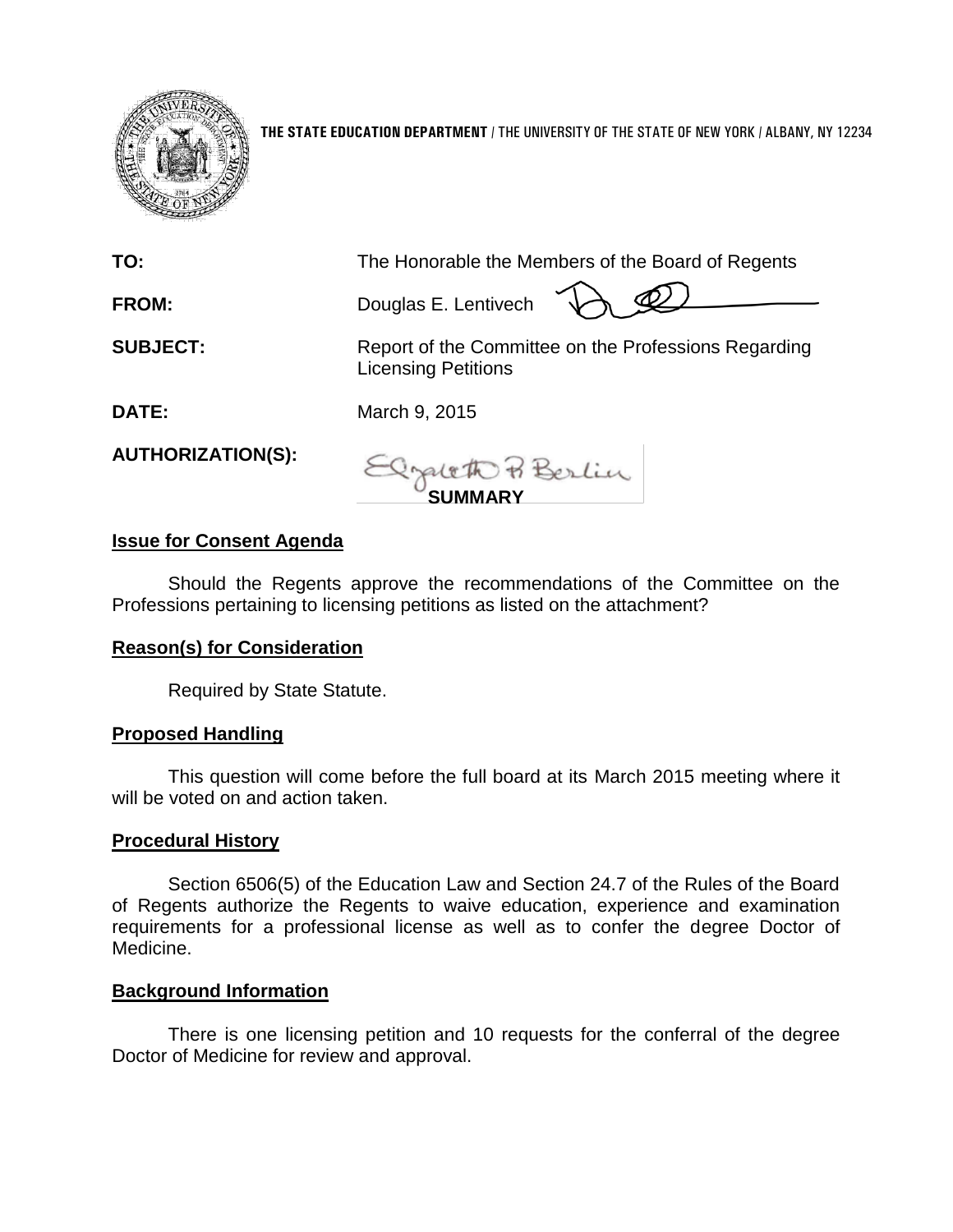

**THE STATE EDUCATION DEPARTMENT** / THE UNIVERSITY OF THE STATE OF NEW YORK / ALBANY, NY 12234

| TO:                      | The Honorable the Members of the Board of Regents                                  |
|--------------------------|------------------------------------------------------------------------------------|
| <b>FROM:</b>             | Douglas E. Lentivech                                                               |
| <b>SUBJECT:</b>          | Report of the Committee on the Professions Regarding<br><b>Licensing Petitions</b> |
| DATE:                    | March 9, 2015                                                                      |
| <b>AUTHORIZATION(S):</b> | Depleto & Berlin                                                                   |

**SUMMARY**

## **Issue for Consent Agenda**

Should the Regents approve the recommendations of the Committee on the Professions pertaining to licensing petitions as listed on the attachment?

## **Reason(s) for Consideration**

Required by State Statute.

## **Proposed Handling**

This question will come before the full board at its March 2015 meeting where it will be voted on and action taken.

## **Procedural History**

Section 6506(5) of the Education Law and Section 24.7 of the Rules of the Board of Regents authorize the Regents to waive education, experience and examination requirements for a professional license as well as to confer the degree Doctor of Medicine.

## **Background Information**

There is one licensing petition and 10 requests for the conferral of the degree Doctor of Medicine for review and approval.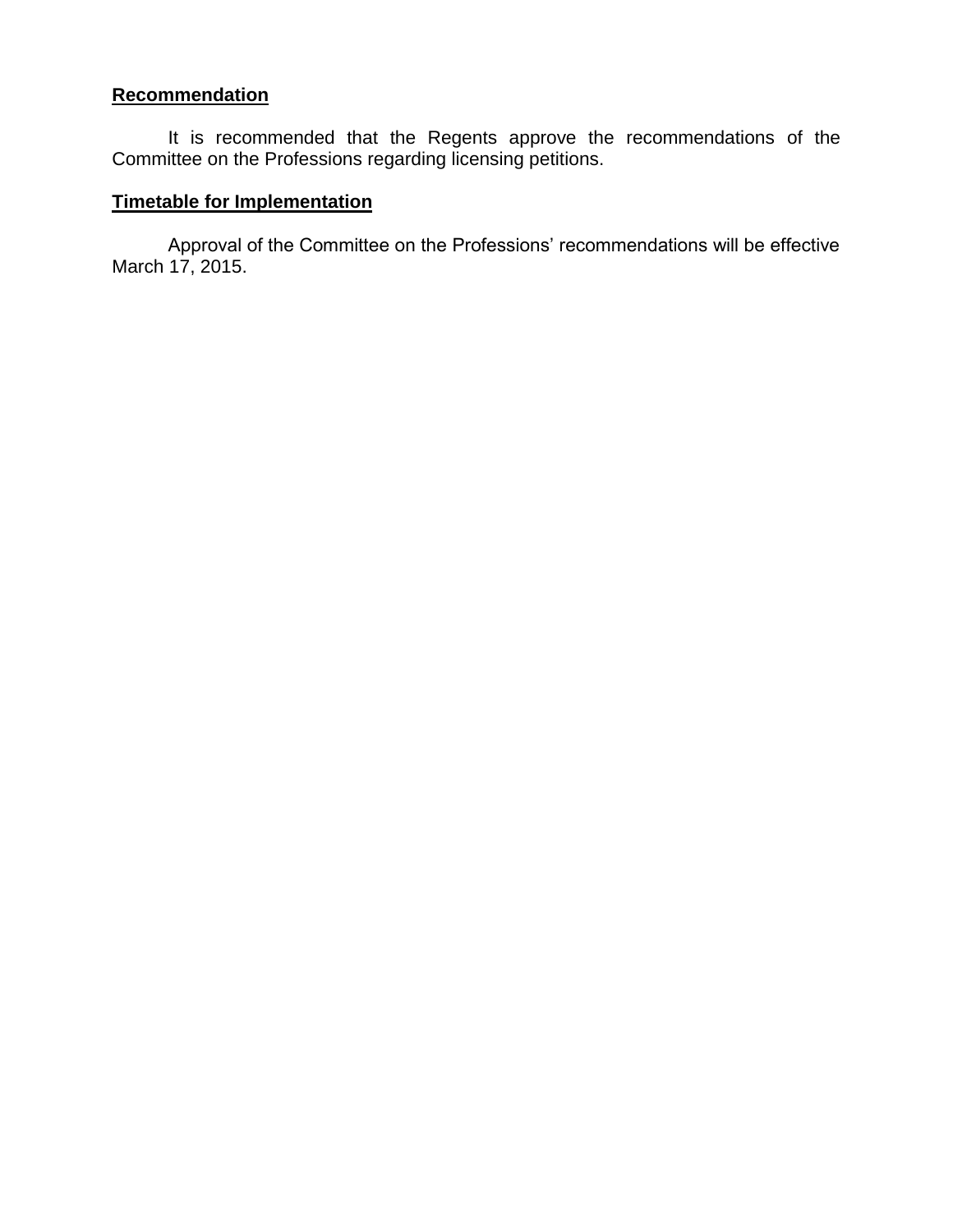# **Recommendation**

It is recommended that the Regents approve the recommendations of the Committee on the Professions regarding licensing petitions.

# **Timetable for Implementation**

Approval of the Committee on the Professions' recommendations will be effective March 17, 2015.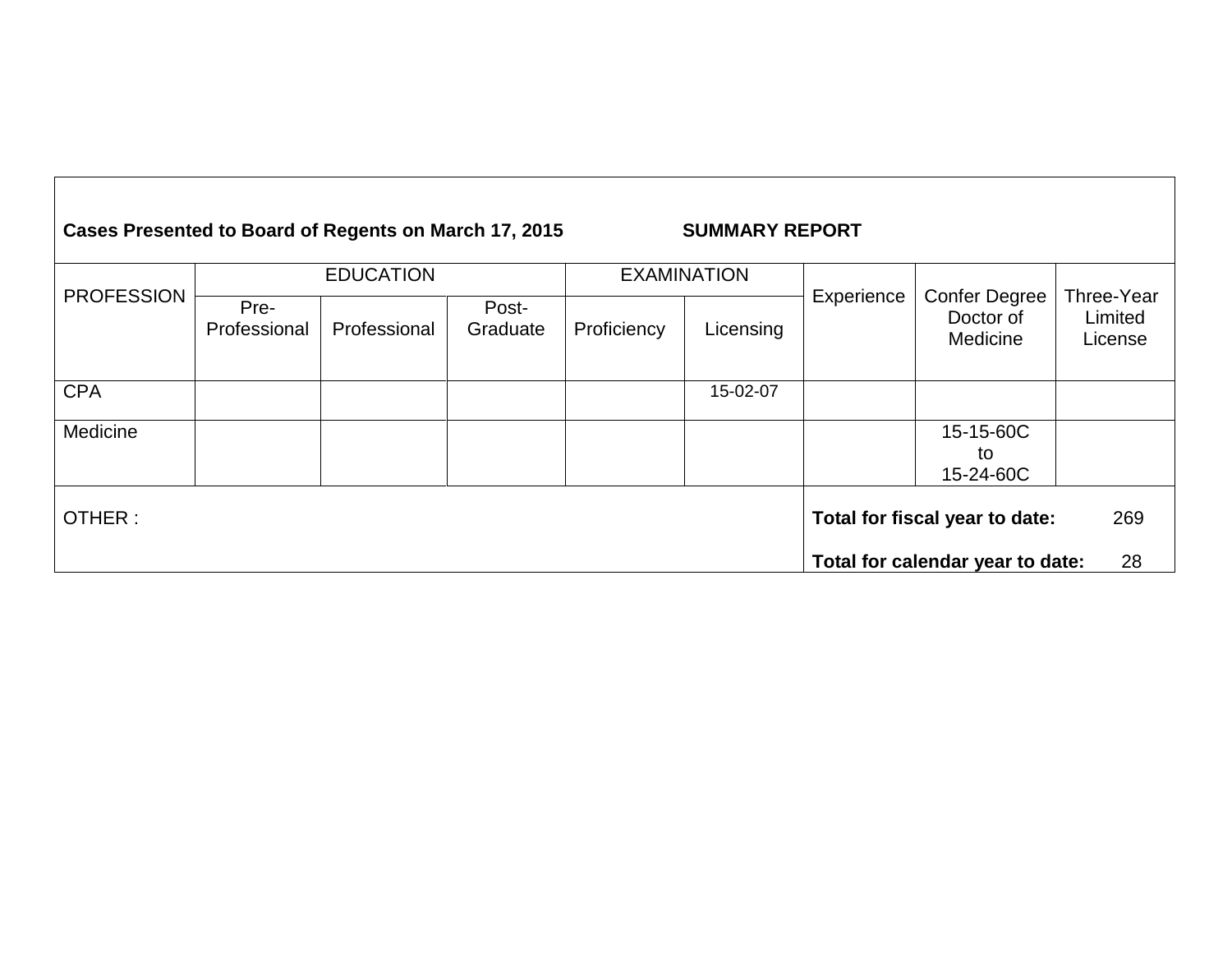| Cases Presented to Board of Regents on March 17, 2015 |                      |              |                   |                    | <b>SUMMARY REPORT</b> |            |                                        |                                  |
|-------------------------------------------------------|----------------------|--------------|-------------------|--------------------|-----------------------|------------|----------------------------------------|----------------------------------|
|                                                       | <b>EDUCATION</b>     |              |                   | <b>EXAMINATION</b> |                       |            |                                        |                                  |
| <b>PROFESSION</b>                                     | Pre-<br>Professional | Professional | Post-<br>Graduate | Proficiency        | Licensing             | Experience | Confer Degree<br>Doctor of<br>Medicine | Three-Year<br>Limited<br>License |
| <b>CPA</b>                                            |                      |              |                   |                    | 15-02-07              |            |                                        |                                  |
| Medicine                                              |                      |              |                   |                    |                       |            | 15-15-60C<br>to<br>15-24-60C           |                                  |
| OTHER:                                                |                      |              |                   |                    |                       |            | Total for fiscal year to date:         | 269                              |
|                                                       |                      |              |                   |                    |                       |            | Total for calendar year to date:       | 28                               |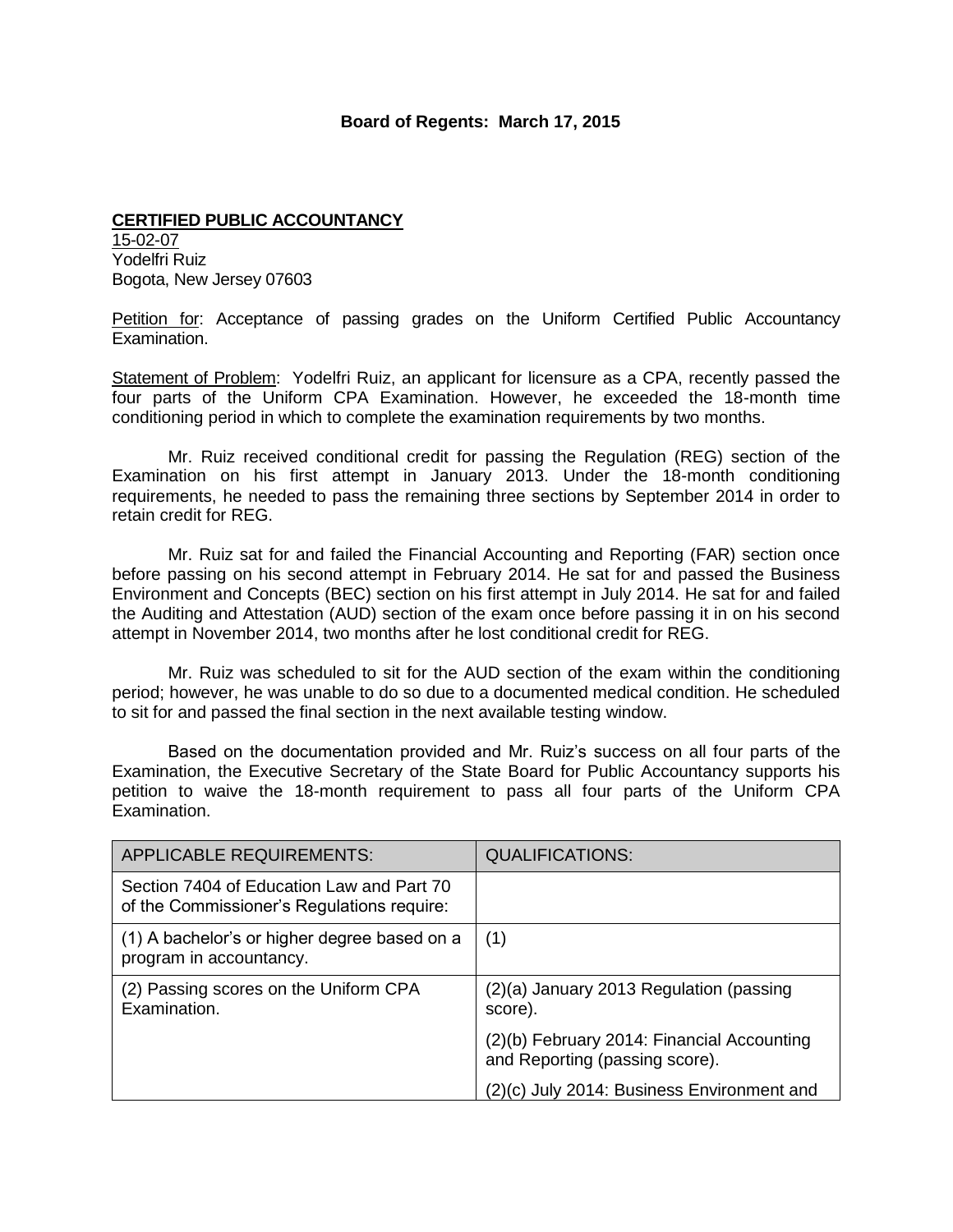#### **Board of Regents: March 17, 2015**

#### **CERTIFIED PUBLIC ACCOUNTANCY**  15-02-07 Yodelfri Ruiz Bogota, New Jersey 07603

Petition for: Acceptance of passing grades on the Uniform Certified Public Accountancy Examination.

Statement of Problem: Yodelfri Ruiz, an applicant for licensure as a CPA, recently passed the four parts of the Uniform CPA Examination. However, he exceeded the 18-month time conditioning period in which to complete the examination requirements by two months.

Mr. Ruiz received conditional credit for passing the Regulation (REG) section of the Examination on his first attempt in January 2013. Under the 18-month conditioning requirements, he needed to pass the remaining three sections by September 2014 in order to retain credit for REG.

Mr. Ruiz sat for and failed the Financial Accounting and Reporting (FAR) section once before passing on his second attempt in February 2014. He sat for and passed the Business Environment and Concepts (BEC) section on his first attempt in July 2014. He sat for and failed the Auditing and Attestation (AUD) section of the exam once before passing it in on his second attempt in November 2014, two months after he lost conditional credit for REG.

Mr. Ruiz was scheduled to sit for the AUD section of the exam within the conditioning period; however, he was unable to do so due to a documented medical condition. He scheduled to sit for and passed the final section in the next available testing window.

Based on the documentation provided and Mr. Ruiz's success on all four parts of the Examination, the Executive Secretary of the State Board for Public Accountancy supports his petition to waive the 18-month requirement to pass all four parts of the Uniform CPA Examination.

| <b>APPLICABLE REQUIREMENTS:</b>                                                         | <b>QUALIFICATIONS:</b>                                                       |
|-----------------------------------------------------------------------------------------|------------------------------------------------------------------------------|
| Section 7404 of Education Law and Part 70<br>of the Commissioner's Regulations require: |                                                                              |
| (1) A bachelor's or higher degree based on a<br>program in accountancy.                 | (1)                                                                          |
| (2) Passing scores on the Uniform CPA<br>Examination.                                   | (2)(a) January 2013 Regulation (passing<br>score).                           |
|                                                                                         | (2)(b) February 2014: Financial Accounting<br>and Reporting (passing score). |
|                                                                                         | (2)(c) July 2014: Business Environment and                                   |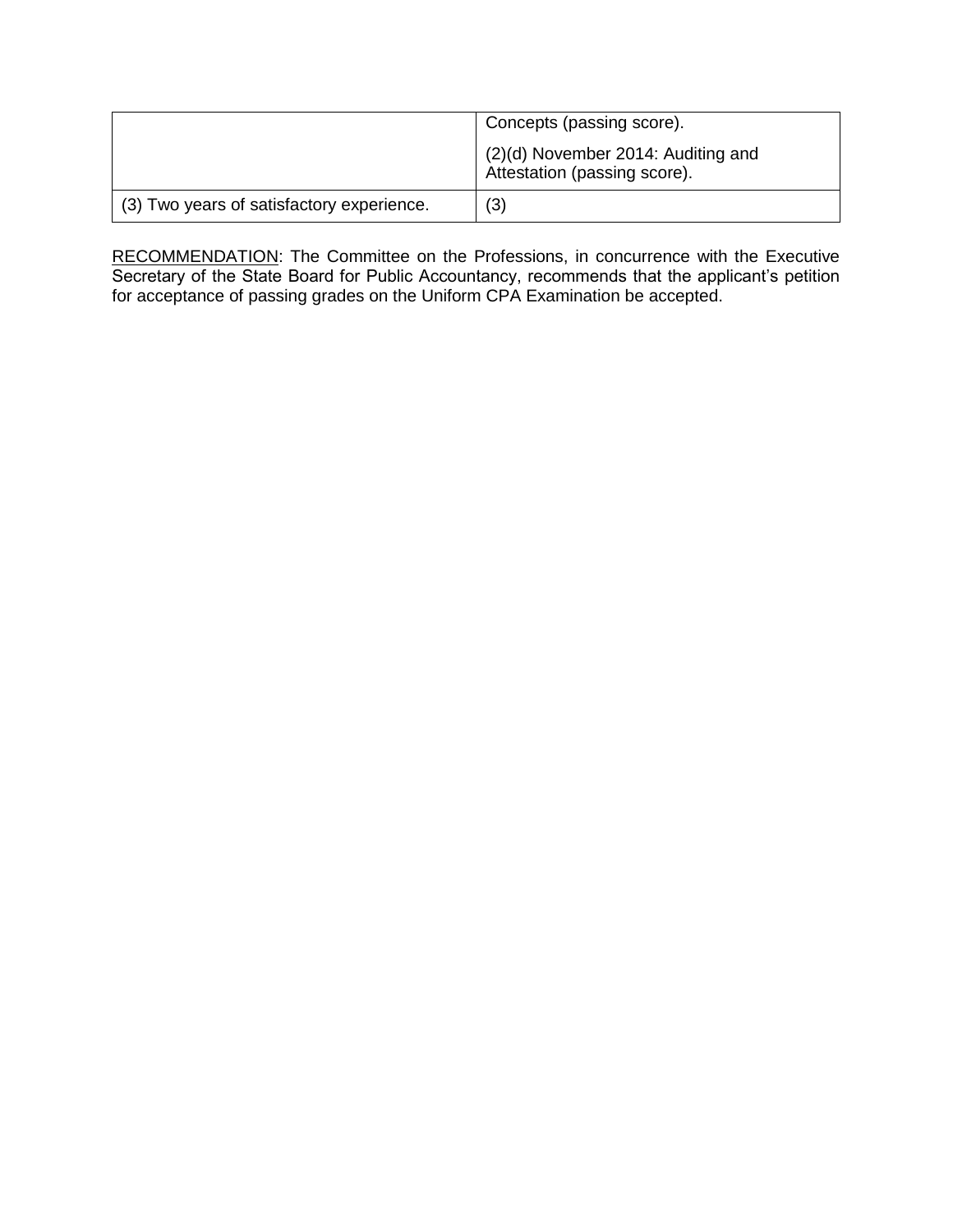|                                           | Concepts (passing score).                                          |  |  |
|-------------------------------------------|--------------------------------------------------------------------|--|--|
|                                           | (2)(d) November 2014: Auditing and<br>Attestation (passing score). |  |  |
| (3) Two years of satisfactory experience. | (3)                                                                |  |  |

RECOMMENDATION: The Committee on the Professions, in concurrence with the Executive Secretary of the State Board for Public Accountancy, recommends that the applicant's petition for acceptance of passing grades on the Uniform CPA Examination be accepted.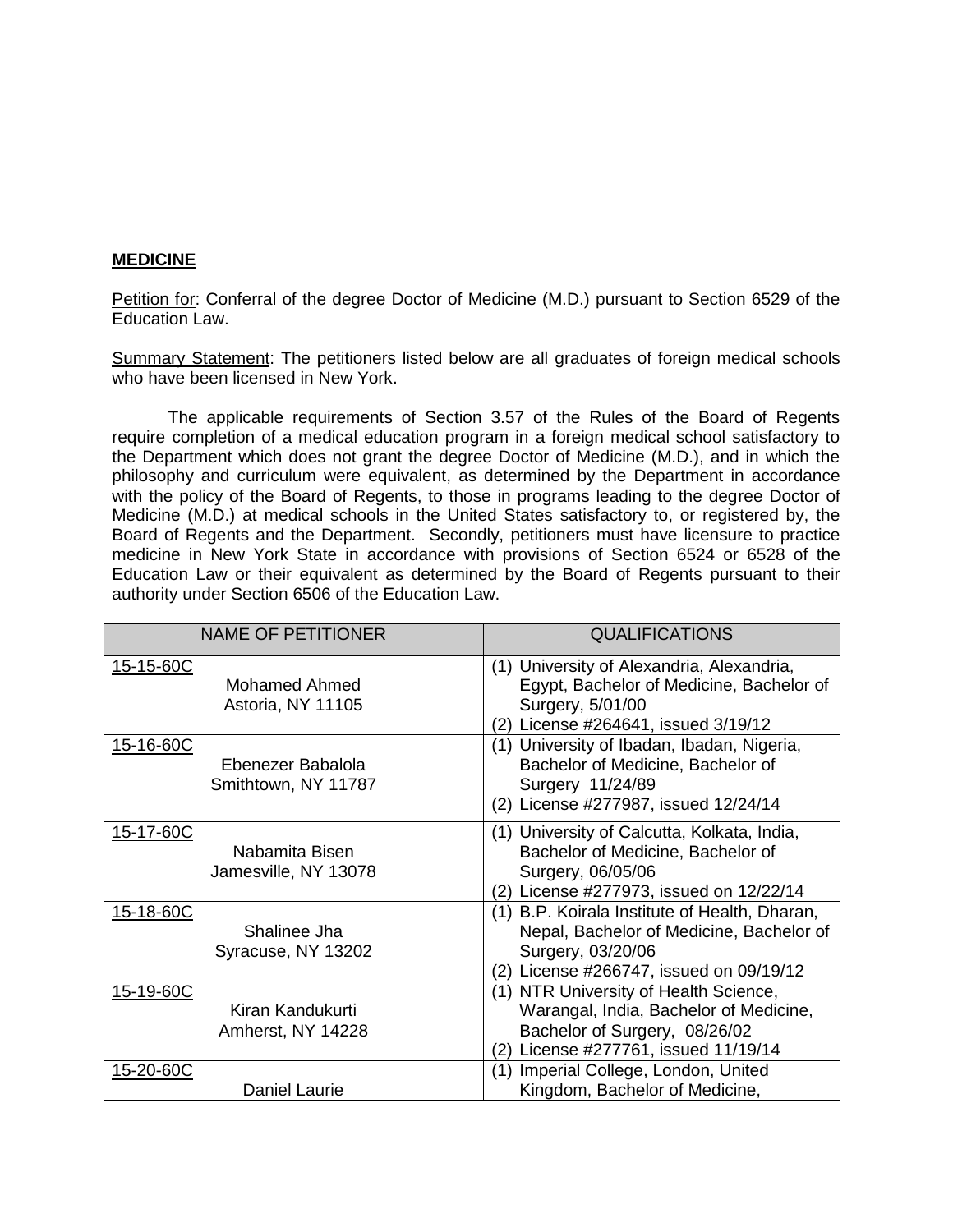### **MEDICINE**

Petition for: Conferral of the degree Doctor of Medicine (M.D.) pursuant to Section 6529 of the Education Law.

Summary Statement: The petitioners listed below are all graduates of foreign medical schools who have been licensed in New York.

The applicable requirements of Section 3.57 of the Rules of the Board of Regents require completion of a medical education program in a foreign medical school satisfactory to the Department which does not grant the degree Doctor of Medicine (M.D.), and in which the philosophy and curriculum were equivalent, as determined by the Department in accordance with the policy of the Board of Regents, to those in programs leading to the degree Doctor of Medicine (M.D.) at medical schools in the United States satisfactory to, or registered by, the Board of Regents and the Department. Secondly, petitioners must have licensure to practice medicine in New York State in accordance with provisions of Section 6524 or 6528 of the Education Law or their equivalent as determined by the Board of Regents pursuant to their authority under Section 6506 of the Education Law.

| <b>NAME OF PETITIONER</b>                             | <b>QUALIFICATIONS</b>                                                                                                                                        |
|-------------------------------------------------------|--------------------------------------------------------------------------------------------------------------------------------------------------------------|
| 15-15-60C<br>Mohamed Ahmed<br>Astoria, NY 11105       | (1) University of Alexandria, Alexandria,<br>Egypt, Bachelor of Medicine, Bachelor of<br>Surgery, 5/01/00<br>License #264641, issued 3/19/12<br>(2)          |
| 15-16-60C<br>Ebenezer Babalola<br>Smithtown, NY 11787 | (1) University of Ibadan, Ibadan, Nigeria,<br>Bachelor of Medicine, Bachelor of<br>Surgery 11/24/89<br>License #277987, issued 12/24/14<br>(2)               |
| 15-17-60C<br>Nabamita Bisen<br>Jamesville, NY 13078   | (1) University of Calcutta, Kolkata, India,<br>Bachelor of Medicine, Bachelor of<br>Surgery, 06/05/06<br>License #277973, issued on 12/22/14<br>(2)          |
| 15-18-60C<br>Shalinee Jha<br>Syracuse, NY 13202       | (1) B.P. Koirala Institute of Health, Dharan,<br>Nepal, Bachelor of Medicine, Bachelor of<br>Surgery, 03/20/06<br>License #266747, issued on 09/19/12<br>(2) |
| 15-19-60C<br>Kiran Kandukurti<br>Amherst, NY 14228    | (1) NTR University of Health Science,<br>Warangal, India, Bachelor of Medicine,<br>Bachelor of Surgery, 08/26/02<br>License #277761, issued 11/19/14<br>(2)  |
| 15-20-60C<br>Daniel Laurie                            | Imperial College, London, United<br>(1)<br>Kingdom, Bachelor of Medicine,                                                                                    |